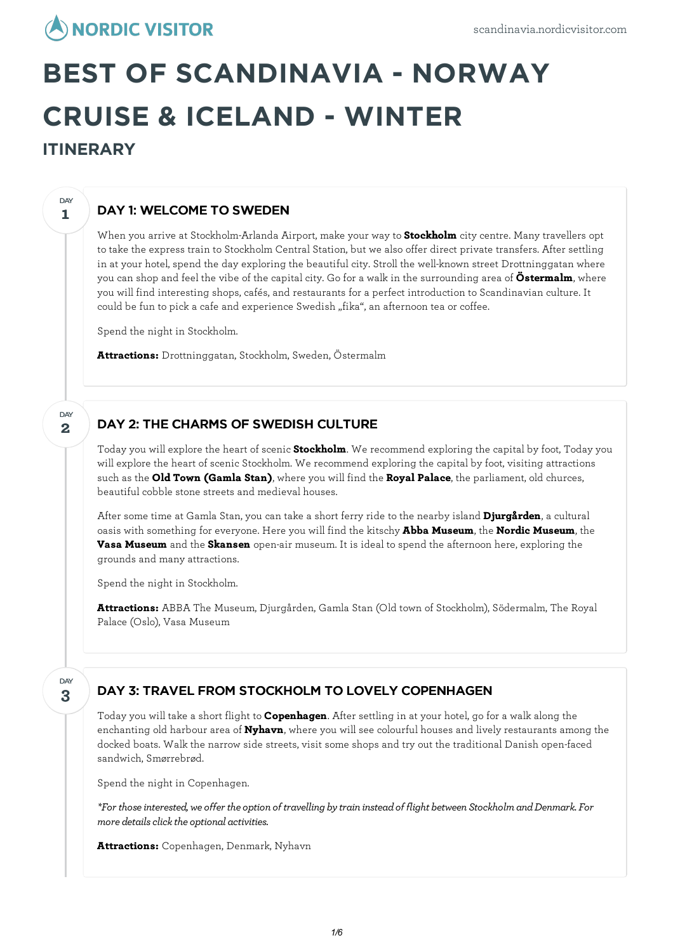# **NORDIC VISITOR**

# **BEST OF SCANDINAVIA - NORWAY CRUISE & ICELAND - WINTER ITINERARY**

# DAY 1: WELCOME TO SWEDEN

When you arrive at Stockholm-Arlanda Airport, make your way to **Stockholm** city centre. Many travellers opt to take the express train to Stockholm Central Station, but we also offer direct private transfers. After settling in at your hotel, spend the day exploring the beautiful city. Stroll the well-known street Drottninggatan where you can shop and feel the vibe of the capital city. Go for a walk in the surrounding area of **Östermalm**, where you will find interesting shops, cafés, and restaurants for a perfect introduction to Scandinavian culture. It could be fun to pick a cafe and experience Swedish "fika", an afternoon tea or coffee.

Spend the night in Stockholm.

**Attractions:** Drottninggatan, Stockholm, Sweden, Östermalm

## DAY 2: THE CHARMS OF SWEDISH CULTURE

Today you willexplore the heart of scenic **Stockholm**. We recommend exploring the capital by foot, Today you willexplore the heart of scenic Stockholm. We recommend exploring the capital by foot, visiting attractions such as the **Old Town (Gamla Stan)**, where you will find the **Royal Palace**, the parliament, old churces, beautiful cobble stone streets and medieval houses.

After some time at Gamla Stan, you can take a short ferry ride to the nearby island **Djurgården**, a cultural oasis with something for everyone. Here you will find the kitschy **Abba Museum**, the **Nordic Museum**, the **Vasa Museum** and the **Skansen** open-air museum. It is ideal to spend the afternoon here, exploring the grounds and many attractions.

Spend the night in Stockholm.

**Attractions:** ABBA The Museum, Djurgården, Gamla Stan (Old town of Stockholm), Södermalm, The Royal Palace (Oslo), Vasa Museum

**3 DAY** 

**1**

DAY

**2**

DAY

# DAY 3: TRAVEL FROM STOCKHOLM TO LOVELY COPENHAGEN

Today you will take a short flight to **Copenhagen**. After settling in at your hotel, go for a walk along the enchanting old harbour area of **Nyhavn**, where you will see colourful houses and lively restaurants among the docked boats. Walk the narrow side streets, visit some shops and try out the traditional Danish open-faced sandwich, Smørrebrød.

Spend the night in Copenhagen.

*\*For thoseinterested, we offer the option of travelling bytrain insteadof flight between StockholmandDenmark. For*  $m$ ore *details click the optional activities.* 

**Attractions:** Copenhagen, Denmark, Nyhavn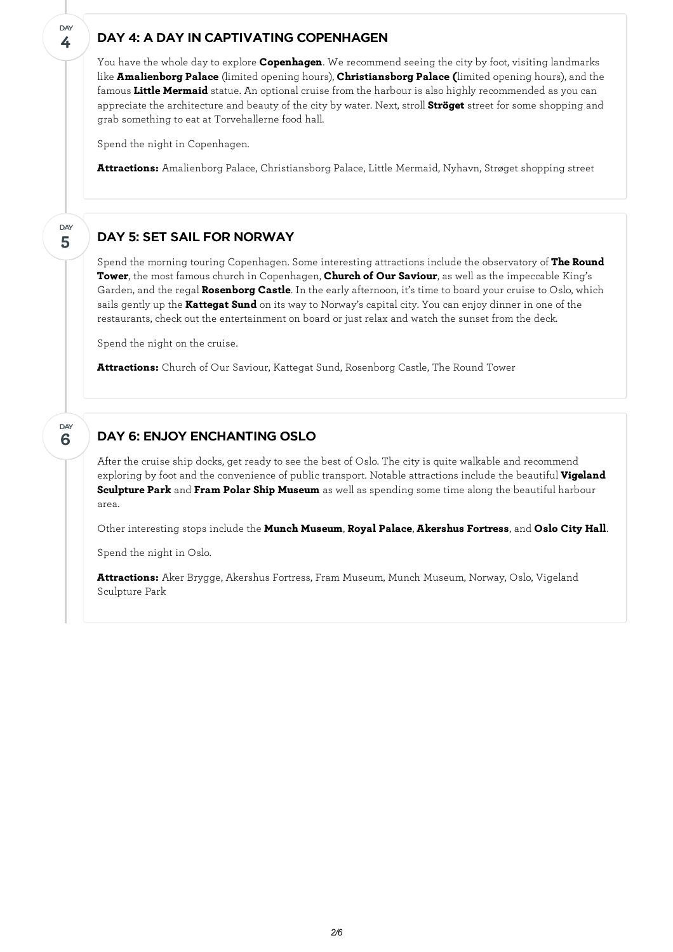#### DAY 4: A DAY IN CAPTIVATING COPENHAGEN

You have the whole day to explore **Copenhagen**. We recommend seeing the city by foot, visiting landmarks like **Amalienborg Palace** (limited opening hours), **Christiansborg Palace (**limited opening hours), and the famous **Little Mermaid** statue. An optional cruise from the harbour is also highly recommended as you can appreciate the architecture and beauty of the city by water. Next, stroll **Ströget** street for some shopping and grab something to eat at Torvehallerne food hall.

Spend the night in Copenhagen.

**4**

**DAY** 

**5**

DAY

**6**

**DAY** 

**Attractions:** Amalienborg Palace, Christiansborg Palace, Little Mermaid, Nyhavn, Strøget shopping street

### DAY 5: SET SAIL FOR NORWAY

Spend the morning touring Copenhagen. Some interesting attractions include the observatory of **The Round Tower**, the most famous church in Copenhagen, **Church of Our Saviour**, as well as the impeccable King's Garden, and the regal **Rosenborg Castle**. In the early afternoon, it's time to board your cruise to Oslo, which sails gently up the **Kattegat Sund** on its way to Norway's capital city. You can enjoy dinner in one of the restaurants, check out the entertainment on board or just relax and watch the sunset from the deck.

Spend the night on the cruise.

**Attractions:** Church of Our Saviour, Kattegat Sund, Rosenborg Castle, The Round Tower

### DAY 6: ENJOY ENCHANTING OSLO

After the cruise ship docks, get ready to see the best of Oslo. The city is quite walkable and recommend exploring by foot and the convenience of public transport. Notable attractions include the beautiful **Vigeland Sculpture Park** and **Fram Polar Ship Museum** as well as spending some time along the beautiful harbour area.

Other interesting stops include the **Munch Museum**, **Royal Palace**, **Akershus Fortress**, and **Oslo City Hall**.

Spend the night in Oslo.

**Attractions:** Aker Brygge, Akershus Fortress, Fram Museum, Munch Museum, Norway, Oslo, Vigeland Sculpture Park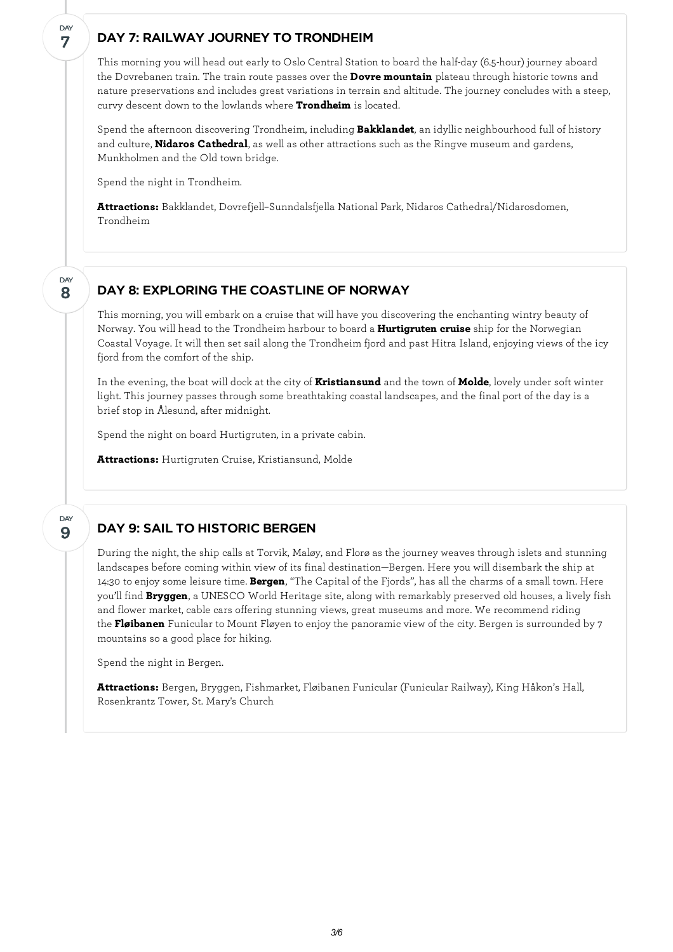#### DAY 7: RAILWAY JOURNEY TO TRONDHEIM

This morning you will head out early to Oslo Central Station to board the half-day (6.5-hour) journey aboard the Dovrebanen train. The train route passes over the **Dovre mountain** plateau through historic towns and nature preservations and includes great variations in terrain and altitude. The journey concludes with a steep, curvy descent down to the lowlands where **Trondheim** is located.

Spend the afternoon discovering Trondheim, including **Bakklandet**, an idyllic neighbourhood full of history and culture, **Nidaros Cathedral**, as well as other attractions such as the Ringve museum and gardens, Munkholmen and the Old town bridge.

Spend the night in Trondheim.

**7**

**DAY** 

**8**

DAY

**9**

DAY

**Attractions:** Bakklandet, Dovrefjell–Sunndalsfjella National Park, Nidaros Cathedral/Nidarosdomen, Trondheim

# DAY 8: EXPLORING THE COASTLINE OF NORWAY

This morning, you willembark on a cruise that will have you discovering the enchanting wintry beauty of Norway. You will head to the Trondheim harbour to board a **Hurtigruten cruise** ship for the Norwegian Coastal Voyage. It will then set sail along the Trondheim fjord and past Hitra Island, enjoying views of the icy fjord from the comfort of the ship.

In the evening, the boat will dock at the city of **Kristiansund** and the town of **Molde**, lovely under soft winter light. This journey passes through some breathtaking coastal landscapes, and the final port of the day is a brief stop in Ålesund, after midnight.

Spend the night on board Hurtigruten, in a private cabin.

**Attractions:** Hurtigruten Cruise, Kristiansund, Molde

### DAY 9: SAIL TO HISTORIC BERGEN

During the night, the ship calls at Torvik, Maløy, and Florø as the journey weaves through islets and stunning landscapes before coming within view of its final destination—Bergen. Here you will disembark the ship at 14:30 to enjoy some leisure time. **Bergen**, "The Capital of the Fjords", has all the charms of a small town. Here you'll find **Bryggen**, a UNESCO World Heritage site, along with remarkably preserved old houses, a lively fish and flower market, cable cars offering stunning views, great museums and more. We recommend riding the **Fløibanen** Funicular to Mount Fløyen to enjoy the panoramic view of the city. Bergen is surrounded by 7 mountains so a good place for hiking.

Spend the night in Bergen.

**Attractions:** Bergen, Bryggen, Fishmarket, Fløibanen Funicular (Funicular Railway), King Håkon's Hall, Rosenkrantz Tower, St. Mary's Church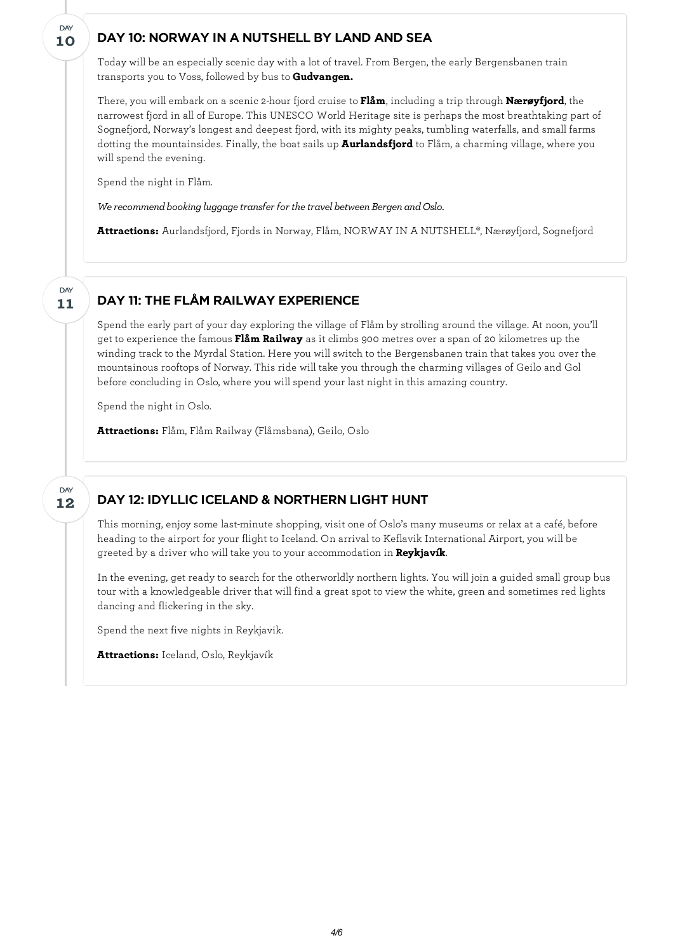#### DAY 10: NORWAY IN A NUTSHELL BY LAND AND SEA

Today will be an especially scenic day with a lot of travel. From Bergen, the early Bergensbanen train transports you to Voss, followed by bus to **Gudvangen.**

There, you willembark on a scenic2-hour fjord cruise to **Flåm**, including a trip through **Nærøyfjord**, the narrowest fjord in all of Europe. This UNESCO World Heritage site is perhaps the most breathtaking part of Sognefjord, Norway's longest and deepest fjord, with its mighty peaks, tumbling waterfalls, and small farms dotting the mountainsides. Finally, the boat sails up **Aurlandsfjord** to Flåm, a charming village, where you will spend the evening.

Spend the night in Flåm.

*We recommend booking luggage transfer for the travel between Bergen and Oslo.* 

**Attractions:** Aurlandsfjord, Fjords in Norway, Flåm, NORWAY IN A NUTSHELL®, Nærøyfjord, Sognefjord

#### DAY 11: THE FLÅM RAILWAY EXPERIENCE

Spend the early part of your day exploring the village of Flåm by strolling around the village. At noon, you'll get to experience the famous **Flåm Railway** as it climbs 900 metres over a span of 20 kilometres up the winding track to the Myrdal Station. Here you will switch to the Bergensbanen train that takes you over the mountainous rooftops of Norway. This ride will take you through the charming villages of Geilo and Gol before concluding in Oslo, where you will spend your last night in this amazing country.

Spend the night in Oslo.

**Attractions:** Flåm, Flåm Railway (Flåmsbana), Geilo, Oslo

**12** DAY

**11**

**DAY** 

**10**

DAY

#### DAY 12: IDYLLIC ICELAND & NORTHERN LIGHT HUNT

This morning, enjoy some last-minute shopping, visit one of Oslo's many museums or relax at a café, before heading to the airport for your flight to Iceland. On arrival to Keflavik International Airport, you will be greeted by a driver who will take you to your accommodation in **Reykjavík**.

In the evening, get ready to search for the otherworldly northern lights. You will join a guided small group bus tour with a knowledgeable driver that will find a great spot to view the white, green and sometimes red lights dancing and flickering in the sky.

Spend the next five nights in Reykjavik.

**Attractions:** Iceland, Oslo, Reykjavík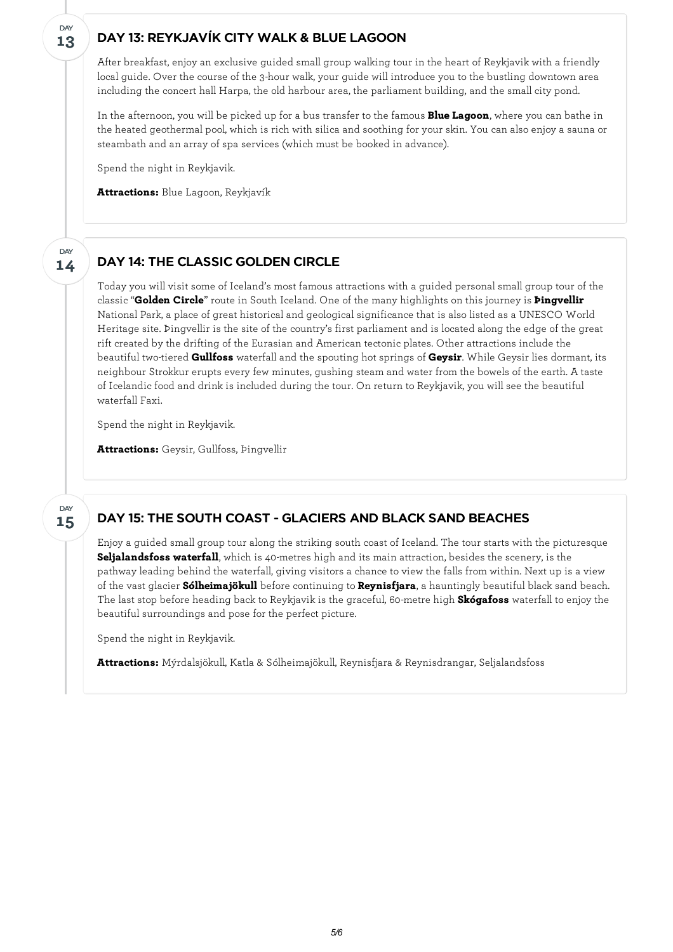#### **13** DAY

**14**

DAY

#### DAY 13: REYKJAVÍK CITY WALK & BLUE LAGOON

After breakfast, enjoy an exclusive guided small group walking tour in the heart of Reykjavik with a friendly local guide. Over the course of the 3-hour walk, your guide will introduce you to the bustling downtown area including the concert hall Harpa, the old harbour area, the parliament building, and the small city pond.

In the afternoon, you will be picked up for a bus transfer to the famous **Blue Lagoon**, where you can bathe in the heated geothermal pool, which is rich with silica and soothing for your skin. You can also enjoy a sauna or steambath and an array of spa services (which must be booked in advance).

Spend the night in Reykjavik.

**Attractions:** Blue Lagoon, Reykjavík

#### DAY 14: THE CLASSIC GOLDEN CIRCLE

Today you will visit some of Iceland's most famous attractions with a guided personal small group tour of the classic "**Golden Circle**" route in South Iceland. One of the many highlights on this journey is **Þingvellir** National Park, a place of great historical and geological significance that is also listed as a UNESCO World Heritage site. Þingvellir is the site of the country's first parliament and is located along the edge of the great rift created by the drifting of the Eurasian and American tectonic plates. Other attractions include the beautiful two-tiered **Gullfoss** waterfall and the spouting hot springs of **Geysir**. While Geysir lies dormant, its neighbour Strokkur erupts every few minutes, gushing steam and water from the bowels of the earth. A taste of Icelandic food and drink is included during the tour. On return to Reykjavik, you will see the beautiful waterfall Faxi.

Spend the night in Reykjavik.

**Attractions:** Geysir, Gullfoss, Þingvellir

**15 DAY** 

#### DAY 15: THE SOUTH COAST - GLACIERS AND BLACK SAND BEACHES

Enjoy a guided small group tour along the striking south coast of Iceland. The tour starts with the picturesque **Seljalandsfoss waterfall**, which is 40-metres high and its main attraction, besides the scenery, is the pathway leading behind the waterfall, giving visitors a chance to view the falls from within. Next up is a view of the vast glacier **Sólheimajökull** before continuing to **Reynisfjara**, a hauntingly beautiful black sand beach. The last stop before heading back to Reykjavik is the graceful, 60-metre high **Skógafoss** waterfall to enjoy the beautiful surroundings and pose for the perfect picture.

Spend the night in Reykjavik.

**Attractions:** Mýrdalsjökull, Katla & Sólheimajökull, Reynisfjara & Reynisdrangar, Seljalandsfoss